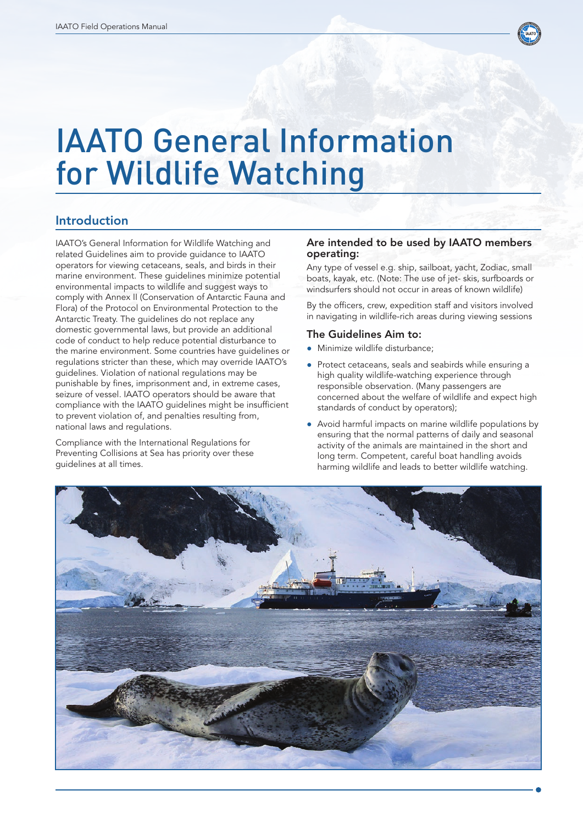

# IAATO General Information for Wildlife Watching

# Introduction

IAATO's General Information for Wildlife Watching and related Guidelines aim to provide guidance to IAATO operators for viewing cetaceans, seals, and birds in their marine environment. These guidelines minimize potential environmental impacts to wildlife and suggest ways to comply with Annex II (Conservation of Antarctic Fauna and Flora) of the Protocol on Environmental Protection to the Antarctic Treaty. The guidelines do not replace any domestic governmental laws, but provide an additional code of conduct to help reduce potential disturbance to the marine environment. Some countries have guidelines or regulations stricter than these, which may override IAATO's guidelines. Violation of national regulations may be punishable by fines, imprisonment and, in extreme cases, seizure of vessel. IAATO operators should be aware that compliance with the IAATO guidelines might be insufficient to prevent violation of, and penalties resulting from, national laws and regulations.

Compliance with the International Regulations for Preventing Collisions at Sea has priority over these guidelines at all times.

#### Are intended to be used by IAATO members operating:

Any type of vessel e.g. ship, sailboat, yacht, Zodiac, small boats, kayak, etc. (Note: The use of jet- skis, surfboards or windsurfers should not occur in areas of known wildlife)

By the officers, crew, expedition staff and visitors involved in navigating in wildlife-rich areas during viewing sessions

#### The Guidelines Aim to:

- Minimize wildlife disturbance;
- Protect cetaceans, seals and seabirds while ensuring a high quality wildlife-watching experience through responsible observation. (Many passengers are concerned about the welfare of wildlife and expect high standards of conduct by operators);
- Avoid harmful impacts on marine wildlife populations by ensuring that the normal patterns of daily and seasonal activity of the animals are maintained in the short and long term. Competent, careful boat handling avoids harming wildlife and leads to better wildlife watching.